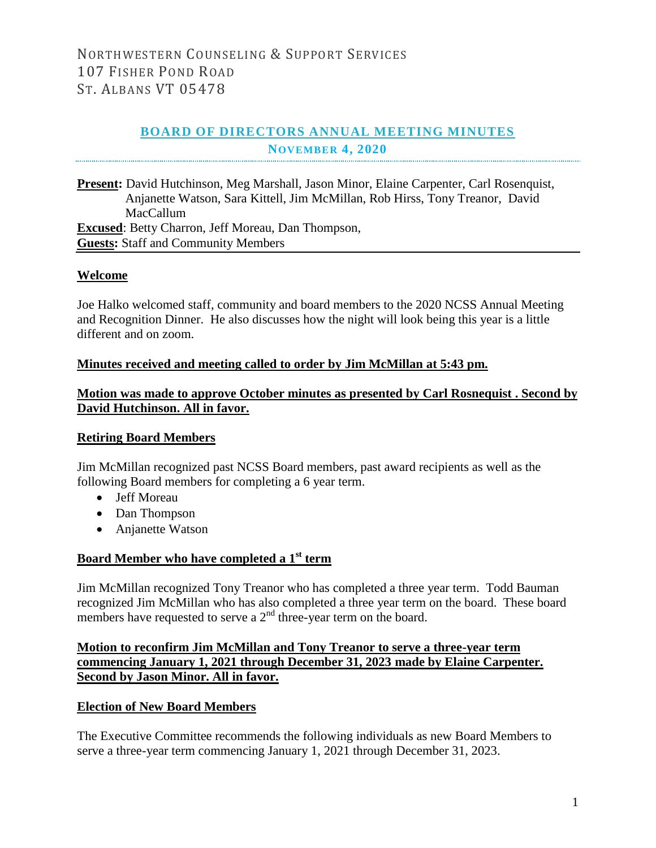# **BOARD OF DIRECTORS ANNUAL MEETING MINUTES NOVEMBER 4, 2020**

**Present:** David Hutchinson, Meg Marshall, Jason Minor, Elaine Carpenter, Carl Rosenquist, Anjanette Watson, Sara Kittell, Jim McMillan, Rob Hirss, Tony Treanor, David MacCallum **Excused**: Betty Charron, Jeff Moreau, Dan Thompson, **Guests:** Staff and Community Members

### **Welcome**

Joe Halko welcomed staff, community and board members to the 2020 NCSS Annual Meeting and Recognition Dinner. He also discusses how the night will look being this year is a little different and on zoom.

### **Minutes received and meeting called to order by Jim McMillan at 5:43 pm.**

## **Motion was made to approve October minutes as presented by Carl Rosnequist . Second by David Hutchinson. All in favor.**

### **Retiring Board Members**

Jim McMillan recognized past NCSS Board members, past award recipients as well as the following Board members for completing a 6 year term.

- Jeff Moreau
- Dan Thompson
- Anjanette Watson

### **Board Member who have completed a 1st term**

Jim McMillan recognized Tony Treanor who has completed a three year term. Todd Bauman recognized Jim McMillan who has also completed a three year term on the board. These board members have requested to serve a  $2<sup>nd</sup>$  three-year term on the board.

# **Motion to reconfirm Jim McMillan and Tony Treanor to serve a three-year term commencing January 1, 2021 through December 31, 2023 made by Elaine Carpenter. Second by Jason Minor. All in favor.**

### **Election of New Board Members**

The Executive Committee recommends the following individuals as new Board Members to serve a three-year term commencing January 1, 2021 through December 31, 2023.